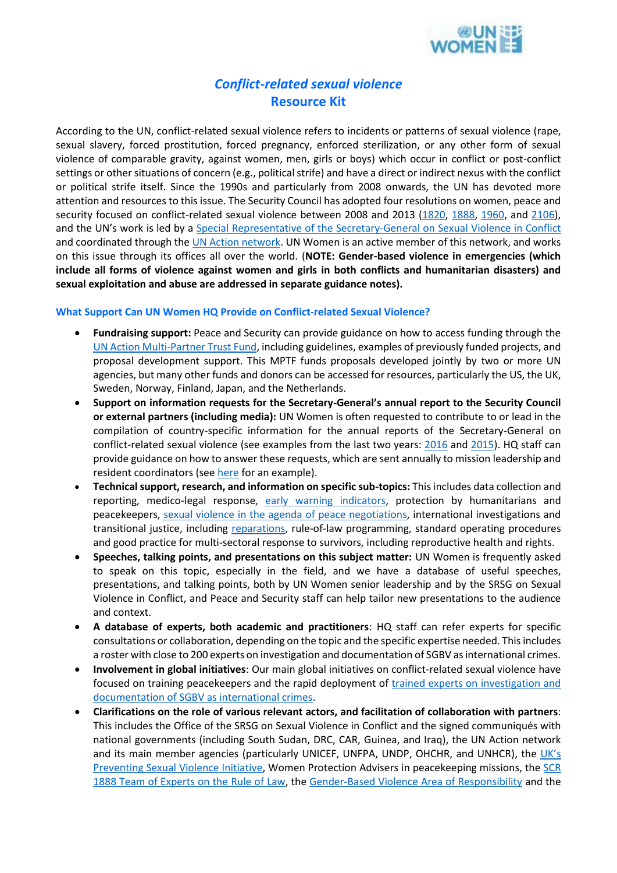

## *Conflict-related sexual violence* **Resource Kit**

According to the UN, conflict-related sexual violence refers to incidents or patterns of sexual violence (rape, sexual slavery, forced prostitution, forced pregnancy, enforced sterilization, or any other form of sexual violence of comparable gravity, against women, men, girls or boys) which occur in conflict or post-conflict settings or other situations of concern (e.g., political strife) and have a direct or indirect nexus with the conflict or political strife itself. Since the 1990s and particularly from 2008 onwards, the UN has devoted more attention and resources to this issue. The Security Council has adopted four resolutions on women, peace and security focused on conflict-related sexual violence between 2008 and 2013 [\(1820,](http://www.un.org/ga/search/view_doc.asp?symbol=S/RES/1820(2008)&Lang=E) [1888,](http://www.un.org/ga/search/view_doc.asp?symbol=S/RES/1888(2009)&Lang=E) [1960,](http://www.un.org/ga/search/view_doc.asp?symbol=S/RES/1960(2010)&Lang=E) and [2106\)](http://www.un.org/ga/search/view_doc.asp?symbol=S/RES/2106(2013)&Lang=E), and the UN's work is led by a [Special Representative of the Secretary-General on Sexual Violence in Conflict](http://www.stoprapenow.org/page/specialrepresentativeonsexualviolenceinconflict) and coordinated through th[e UN Action network.](http://www.stoprapenow.org/) UN Women is an active member of this network, and works on this issue through its offices all over the world. (**NOTE: Gender-based violence in emergencies (which include all forms of violence against women and girls in both conflicts and humanitarian disasters) and sexual exploitation and abuse are addressed in separate guidance notes).**

## **What Support Can UN Women HQ Provide on Conflict-related Sexual Violence?**

- **Fundraising support:** Peace and Security can provide guidance on how to access funding through the [UN Action Multi-Partner Trust Fund,](http://mptf.undp.org/factsheet/fund/UNA00) including guidelines, examples of previously funded projects, and proposal development support. This MPTF funds proposals developed jointly by two or more UN agencies, but many other funds and donors can be accessed for resources, particularly the US, the UK, Sweden, Norway, Finland, Japan, and the Netherlands.
- **Support on information requests for the Secretary-General's annual report to the Security Council or external partners (including media):** UN Women is often requested to contribute to or lead in the compilation of country-specific information for the annual reports of the Secretary-General on conflict-related sexual violence (see examples from the last two years: [2016](http://www.stoprapenow.org/uploads/advocacyresources/1463666669.pdf) and [2015\)](http://www.stoprapenow.org/uploads/advocacyresources/1428937312.pdf). HQ staff can provide guidance on how to answer these requests, which are sent annually to mission leadership and resident coordinators (see [here](https://unwomen.sharepoint.com/Policy-Programming/Peace-Security/_layouts/15/WopiFrame.aspx?sourcedoc=%7BE95AD52C-3C3C-48AB-8C90-FC1BBF89F5FA%7D&file=INFORMATION%20REQUEST%20FOR%20SG-SVC%20REPORT%20All%20entities.docx&action=default) for an example).
- **Technical support, research, and information on specific sub-topics:** This includes data collection and reporting, medico-legal response, [early warning indicators,](http://peacemaker.un.org/sites/peacemaker.un.org/files/MatrixEarlyWarningIndicatorsCSV_UNAction2011.pdf) protection by humanitarians and peacekeepers, sexual violence in the agenda of [peace negotiations,](http://www.un.org/wcm/webdav/site/undpa/shared/undpa/pdf/DPA%20Guidance%20for%20Mediators%20on%20Addressing%20Conflict-Related%20Sexual%20Violence%20in%20Ceasefire%20and%20Peace%20Agreements.pdf) international investigations and transitional justice, including [reparations,](http://www2.unwomen.org/~/media/headquarters/attachments/sections/news/stories/final%20guidance%20note%20reparations%20for%20crsv%203-june-2014%20pdf.ashx?v=1&d=20141013T121449) rule-of-law programming, standard operating procedures and good practice for multi-sectoral response to survivors, including reproductive health and rights.
- **Speeches, talking points, and presentations on this subject matter:** UN Women is frequently asked to speak on this topic, especially in the field, and we have a database of useful speeches, presentations, and talking points, both by UN Women senior leadership and by the SRSG on Sexual Violence in Conflict, and Peace and Security staff can help tailor new presentations to the audience and context.
- **A database of experts, both academic and practitioners**: HQ staff can refer experts for specific consultations or collaboration, depending on the topic and the specific expertise needed. This includes a roster with close to 200 experts on investigation and documentation of SGBV as international crimes.
- **Involvement in global initiatives**: Our main global initiatives on conflict-related sexual violence have focused on training peacekeepers and the rapid deployment of [trained experts on investigation and](https://unwomen.sharepoint.com/Policy-Programming/Peace-Security/Resources/JRR-UN%20Women%20partnership%20-%20overview.pdf)  [documentation of SGBV as international crimes.](https://unwomen.sharepoint.com/Policy-Programming/Peace-Security/Resources/JRR-UN%20Women%20partnership%20-%20overview.pdf)
- **Clarifications on the role of various relevant actors, and facilitation of collaboration with partners**: This includes the Office of the SRSG on Sexual Violence in Conflict and the signed communiqués with national governments (including South Sudan, DRC, CAR, Guinea, and Iraq), the UN Action network and its main member agencies (particularly UNICEF, UNFPA, UNDP, OHCHR, and UNHCR), the [UK](https://www.gov.uk/government/policies/sexual-violence-in-conflict)'s [Preventing Sexual Violence Initiative,](https://www.gov.uk/government/policies/sexual-violence-in-conflict) Women Protection Advisers in peacekeeping missions, the [SCR](http://www.stoprapenow.org/uploads/advocacyresources/1471959992.pdf)  [1888 Team of Experts on the Rule of Law,](http://www.stoprapenow.org/uploads/advocacyresources/1471959992.pdf) the [Gender-Based Violence Area of Responsibility](http://gbvaor.net/) and the